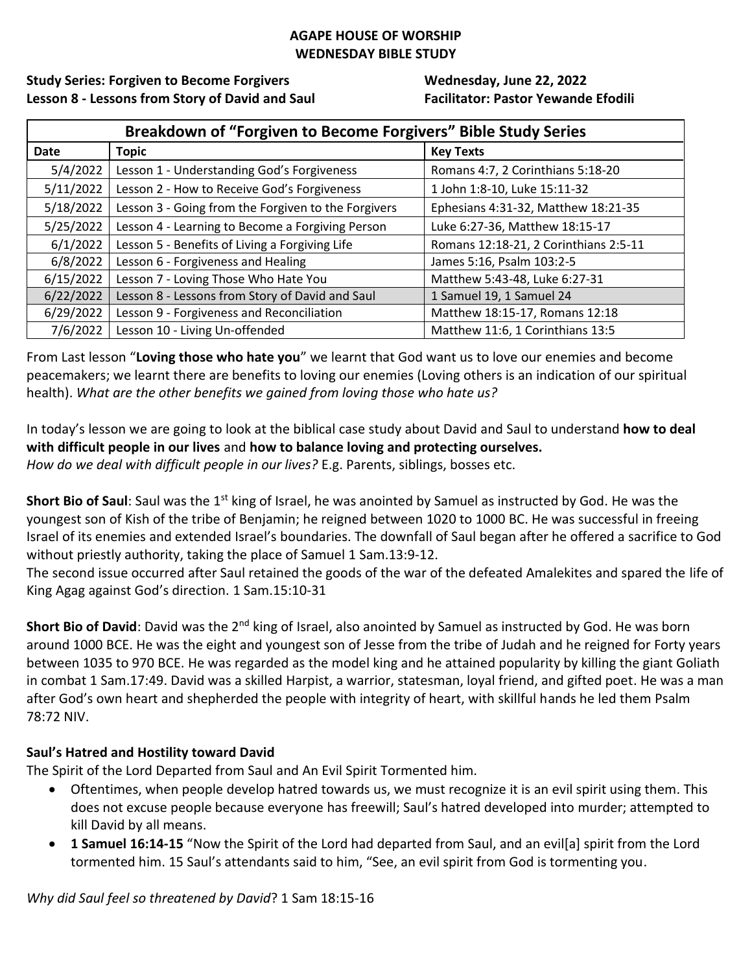#### **AGAPE HOUSE OF WORSHIP WEDNESDAY BIBLE STUDY**

**Study Series: Forgiven to Become Forgivers Wednesday, June 22, 2022** Lesson 8 - Lessons from Story of David and Saul **Facilitator: Pastor Yewande Efodili** 

| Breakdown of "Forgiven to Become Forgivers" Bible Study Series |                                                     |                                       |
|----------------------------------------------------------------|-----------------------------------------------------|---------------------------------------|
| Date                                                           | <b>Topic</b>                                        | <b>Key Texts</b>                      |
| 5/4/2022                                                       | Lesson 1 - Understanding God's Forgiveness          | Romans 4:7, 2 Corinthians 5:18-20     |
| 5/11/2022                                                      | Lesson 2 - How to Receive God's Forgiveness         | 1 John 1:8-10, Luke 15:11-32          |
| 5/18/2022                                                      | Lesson 3 - Going from the Forgiven to the Forgivers | Ephesians 4:31-32, Matthew 18:21-35   |
| 5/25/2022                                                      | Lesson 4 - Learning to Become a Forgiving Person    | Luke 6:27-36, Matthew 18:15-17        |
| 6/1/2022                                                       | Lesson 5 - Benefits of Living a Forgiving Life      | Romans 12:18-21, 2 Corinthians 2:5-11 |
| 6/8/2022                                                       | Lesson 6 - Forgiveness and Healing                  | James 5:16, Psalm 103:2-5             |
| 6/15/2022                                                      | Lesson 7 - Loving Those Who Hate You                | Matthew 5:43-48, Luke 6:27-31         |
| 6/22/2022                                                      | Lesson 8 - Lessons from Story of David and Saul     | 1 Samuel 19, 1 Samuel 24              |
| 6/29/2022                                                      | Lesson 9 - Forgiveness and Reconciliation           | Matthew 18:15-17, Romans 12:18        |
| 7/6/2022                                                       | Lesson 10 - Living Un-offended                      | Matthew 11:6, 1 Corinthians 13:5      |

From Last lesson "**Loving those who hate you**" we learnt that God want us to love our enemies and become peacemakers; we learnt there are benefits to loving our enemies (Loving others is an indication of our spiritual health). *What are the other benefits we gained from loving those who hate us?*

In today's lesson we are going to look at the biblical case study about David and Saul to understand **how to deal with difficult people in our lives** and **how to balance loving and protecting ourselves.** *How do we deal with difficult people in our lives?* E.g. Parents, siblings, bosses etc.

**Short Bio of Saul**: Saul was the 1<sup>st</sup> king of Israel, he was anointed by Samuel as instructed by God. He was the youngest son of Kish of the tribe of Benjamin; he reigned between 1020 to 1000 BC. He was successful in freeing Israel of its enemies and extended Israel's boundaries. The downfall of Saul began after he offered a sacrifice to God without priestly authority, taking the place of Samuel 1 Sam.13:9-12.

The second issue occurred after Saul retained the goods of the war of the defeated Amalekites and spared the life of King Agag against God's direction. 1 Sam.15:10-31

**Short Bio of David**: David was the 2<sup>nd</sup> king of Israel, also anointed by Samuel as instructed by God. He was born around 1000 BCE. He was the eight and youngest son of Jesse from the tribe of Judah and he reigned for Forty years between 1035 to 970 BCE. He was regarded as the model king and he attained popularity by killing the giant Goliath in combat 1 Sam.17:49. David was a skilled Harpist, a warrior, statesman, loyal friend, and gifted poet. He was a man after God's own heart and shepherded the people with integrity of heart, with skillful hands he led them Psalm 78:72 NIV.

## **Saul's Hatred and Hostility toward David**

The Spirit of the Lord Departed from Saul and An Evil Spirit Tormented him.

- Oftentimes, when people develop hatred towards us, we must recognize it is an evil spirit using them. This does not excuse people because everyone has freewill; Saul's hatred developed into murder; attempted to kill David by all means.
- **1 Samuel 16:14-15** "Now the Spirit of the Lord had departed from Saul, and an evil[a] spirit from the Lord tormented him. 15 Saul's attendants said to him, "See, an evil spirit from God is tormenting you.

*Why did Saul feel so threatened by David*? 1 Sam 18:15-16